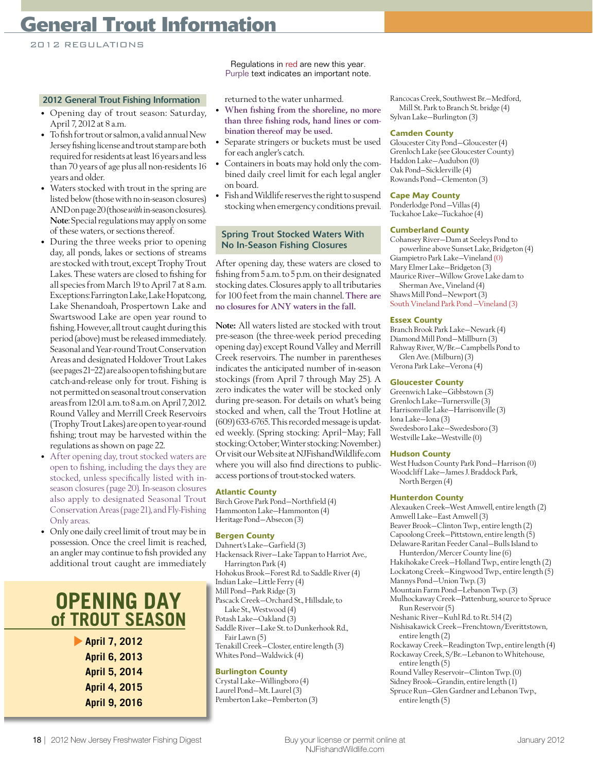# **General Trout Information**

2012 REGULATIONS

#### 2012 General Trout Fishing Information

- Opening day of trout season: Saturday, April 7, 2012 at 8 a.m.
- To fish for trout or salmon, a valid annual New Jersey fishing license and trout stamp are both required for residents at least 16 years and less than 70 years of age plus all non-residents 16 years and older.
- Waters stocked with trout in the spring are listed below (those with no in-season closures) AND on page 20 (those with in-season closures). Note: Special regulations may apply on some of these waters, or sections thereof.
- During the three weeks prior to opening day, all ponds, lakes or sections of streams are stocked with trout, except Trophy Trout Lakes. These waters are closed to fishing for all species from March 19 to April 7 at 8 a.m. Exceptions: Farrington Lake, Lake Hopatcong, Lake Shenandoah, Prospertown Lake and Swartswood Lake are open year round to fishing. However, all trout caught during this period (above) must be released immediately. Seasonal and Year-round Trout Conservation Areas and designated Holdover Trout Lakes (see pages 21–22) are also open to fishing but are catch-and-release only for trout. Fishing is not permitted on seasonal trout conservation areas from 12:01 a.m. to 8 a.m. on April 7, 2012. Round Valley and Merrill Creek Reservoirs (Trophy Trout Lakes) are open to year-round fishing; trout may be harvested within the regulations as shown on page 22.
- After opening day, trout stocked waters are open to fishing, including the days they are stocked, unless specifically listed with inseason closures (page 20). In-season closures also apply to designated Seasonal Trout Conservation Areas (page 21), and Fly-Fishing Only areas.
- Only one daily creel limit of trout may be in possession. Once the creel limit is reached, an angler may continue to fish provided any additional trout caught are immediately

# **OPENING DAY of TROUT SEASON**

**April 7, 2012 April 6, 2013 April 5, 2014 April 4, 2015 April 9, 2016**

Regulations in red are new this year. Purple text indicates an important note.

returned to the water unharmed.

- When fishing from the shoreline, no more than three fishing rods, hand lines or combination thereof may be used.
- Separate stringers or buckets must be used for each angler's catch.
- Containers in boats may hold only the combined daily creel limit for each legal angler on board.
- Fish and Wildlife reserves the right to suspend stocking when emergency conditions prevail.

#### Spring Trout Stocked Waters With No In-Season Fishing Closures

After opening day, these waters are closed to fishing from 5 a.m. to 5 p.m. on their designated stocking dates. Closures apply to all tributaries for 100 feet from the main channel. There are no closures for ANY waters in the fall.

Note: All waters listed are stocked with trout pre-season (the three-week period preceding opening day) except Round Valley and Merrill Creek reservoirs. The number in parentheses indicates the anticipated number of in-season stockings (from April 7 through May 25). A zero indicates the water will be stocked only during pre-season. For details on what's being stocked and when, call the Trout Hotline at (609) 633-6765. This recorded message is updated weekly. (Spring stocking: April–May; Fall stocking: October; Winter stocking: November.) Or visit our Web site at NJFishandWildlife.com where you will also find directions to publicaccess portions of trout-stocked waters.

#### **Atlantic County**

Birch Grove Park Pond—Northfield (4) Hammonton Lake—Hammonton (4) Heritage Pond—Absecon (3)

#### **Bergen County**

Dahnert's Lake—Garfield (3) Hackensack River—Lake Tappan to Harriot Ave., Harrington Park (4) Hohokus Brook—Forest Rd. to Saddle River (4) Indian Lake—Little Ferry (4) Mill Pond—Park Ridge (3) Pascack Creek—Orchard St., Hillsdale, to Lake St., Westwood (4) Potash Lake—Oakland (3) Saddle River—Lake St. to Dunkerhook Rd., Fair Lawn (5) Tenakill Creek—Closter, entire length (3) Whites Pond—Waldwick (4) **Burlington County**

Crystal Lake—Willingboro (4) Laurel Pond—Mt. Laurel (3) Pemberton Lake—Pemberton (3) Rancocas Creek, Southwest Br.—Medford, Mill St. Park to Branch St. bridge (4) Sylvan Lake—Burlington (3)

#### **Camden County**

Gloucester City Pond—Gloucester (4) Grenloch Lake (see Gloucester County) Haddon Lake—Audubon (0) Oak Pond—Sicklerville (4) Rowands Pond—Clementon (3)

#### **Cape May County**

Ponderlodge Pond —Villas (4) Tuckahoe Lake—Tuckahoe (4)

#### **Cumberland County**

Cohansey River—Dam at Seeleys Pond to powerline above Sunset Lake, Bridgeton (4) Giampietro Park Lake—Vineland (0) Mary Elmer Lake—Bridgeton (3) Maurice River—Willow Grove Lake dam to Sherman Ave., Vineland (4) Shaws Mill Pond—Newport (3) South Vineland Park Pond —Vineland (3)

#### **Essex County**

Branch Brook Park Lake—Newark (4) Diamond Mill Pond—Millburn (3) Rahway River, W/Br.—Campbells Pond to Glen Ave. (Milburn) (3) Verona Park Lake—Verona (4)

#### **Gloucester County**

Greenwich Lake—Gibbstown (3) Grenloch Lake—Turnersville (3) Harrisonville Lake—Harrisonville (3) Iona Lake—Iona (3) Swedesboro Lake—Swedesboro (3) Westville Lake—Westville (0)

#### **Hudson County**

West Hudson County Park Pond—Harrison (0) Woodcliff Lake—James J. Braddock Park, North Bergen (4)

#### **Hunterdon County**

Alexauken Creek—West Amwell, entire length (2) Amwell Lake—East Amwell (3) Beaver Brook—Clinton Twp., entire length (2) Capoolong Creek—Pittstown, entire length (5) Delaware-Raritan Feeder Canal—Bulls Island to Hunterdon/Mercer County line (6) Hakihokake Creek—Holland Twp., entire length (2) Lockatong Creek—Kingwood Twp., entire length (5) Mannys Pond—Union Twp. (3) Mountain Farm Pond—Lebanon Twp. (3) Mulhockaway Creek—Pattenburg, source to Spruce Run Reservoir (5) Neshanic River—Kuhl Rd. to Rt. 514 (2) Nishisakawick Creek—Frenchtown/Everittstown, entire length (2) Rockaway Creek—Readington Twp., entire length (4) Rockaway Creek, S/Br.—Lebanon to Whitehouse, entire length (5) Round Valley Reservoir—Clinton Twp. (0) Sidney Brook—Grandin, entire length (1) Spruce Run—Glen Gardner and Lebanon Twp., entire length (5)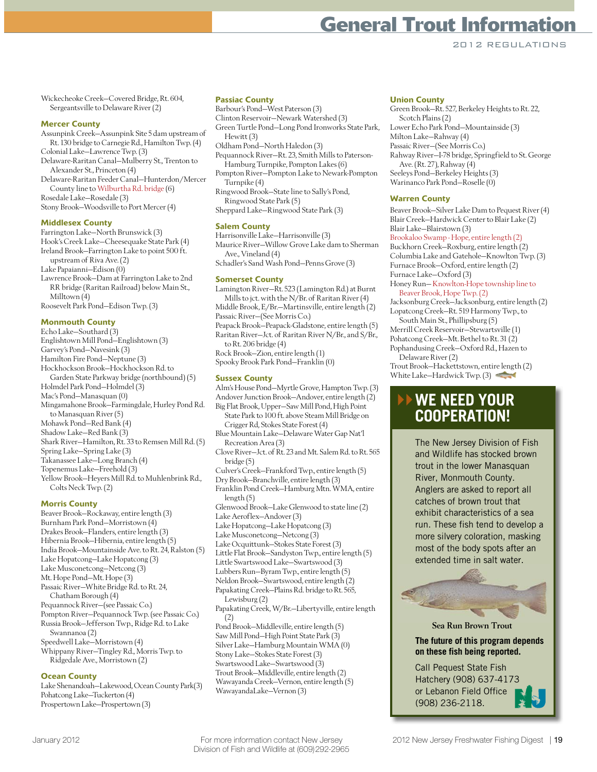2012 REGULATIONS

Wickecheoke Creek—Covered Bridge, Rt. 604, Sergeantsville to Delaware River (2)

#### **Mercer County**

Assunpink Creek—Assunpink Site 5 dam upstream of Rt. 130 bridge to Carnegie Rd., Hamilton Twp. (4) Colonial Lake—Lawrence Twp. (3) Delaware-Raritan Canal—Mulberry St., Trenton to

Alexander St., Princeton (4) Delaware-Raritan Feeder Canal—Hunterdon/Mercer County line to Wilburtha Rd. bridge (6)

Rosedale Lake—Rosedale (3) Stony Brook—Woodsville to Port Mercer (4)

#### **Middlesex County**

Farrington Lake—North Brunswick (3) Hook's Creek Lake—Cheesequake State Park (4) Ireland Brook—Farrington Lake to point 500 ft. upstream of Riva Ave. (2) Lake Papaianni—Edison (0) Lawrence Brook—Dam at Farrington Lake to 2nd RR bridge (Raritan Railroad) below Main St., Milltown (4) Roosevelt Park Pond—Edison Twp. (3)

#### **Monmouth County**

Echo Lake—Southard (3) Englishtown Mill Pond—Englishtown (3) Garvey's Pond—Navesink (3) Hamilton Fire Pond—Neptune (3) Hockhockson Brook—Hockhockson Rd. to Garden State Parkway bridge (northbound) (5) Holmdel Park Pond—Holmdel (3) Mac's Pond—Manasquan (0) Mingamahone Brook—Farmingdale, Hurley Pond Rd. to Manasquan River (5) Mohawk Pond—Red Bank (4) Shadow Lake—Red Bank (3) Shark River—Hamilton, Rt. 33 to Remsen Mill Rd. (5) Spring Lake—Spring Lake (3) Takanassee Lake—Long Branch (4) Topenemus Lake—Freehold (3) Yellow Brook—Heyers Mill Rd. to Muhlenbrink Rd., Colts Neck Twp. (2)

#### **Morris County**

Beaver Brook—Rockaway, entire length (3) Burnham Park Pond—Morristown (4) Drakes Brook—Flanders, entire length (3) Hibernia Brook—Hibernia, entire length (5) India Brook—Mountainside Ave. to Rt. 24, Ralston (5) Lake Hopatcong—Lake Hopatcong (3) Lake Musconetcong—Netcong (3) Mt. Hope Pond—Mt. Hope (3) Passaic River—White Bridge Rd. to Rt. 24, Chatham Borough (4) Pequannock River—(see Passaic Co.) Pompton River—Pequannock Twp. (see Passaic Co.) Russia Brook—Jefferson Twp., Ridge Rd. to Lake Swannanoa (2) Speedwell Lake—Morristown (4) Whippany River—Tingley Rd., Morris Twp. to Ridgedale Ave., Morristown (2)

#### **Ocean County**

Lake Shenandoah—Lakewood, Ocean County Park(3) Pohatcong Lake—Tuckerton (4) Prospertown Lake—Prospertown (3)

#### **Passiac County**

Barbour's Pond—West Paterson (3)

- Clinton Reservoir—Newark Watershed (3)
- Green Turtle Pond—Long Pond Ironworks State Park, Hewitt (3) Oldham Pond—North Haledon (3)
- Pequannock River—Rt. 23, Smith Mills to Paterson-Hamburg Turnpike, Pompton Lakes (6)
- Pompton River—Pompton Lake to Newark-Pompton Turnpike (4)
- Ringwood Brook—State line to Sally's Pond, Ringwood State Park (5)
- Sheppard Lake—Ringwood State Park (3)

#### **Salem County**

- Harrisonville Lake—Harrisonville (3) Maurice River—Willow Grove Lake dam to Sherman Ave., Vineland (4)
- Schadler's Sand Wash Pond—Penns Grove (3)

#### **Somerset County**

Lamington River—Rt. 523 (Lamington Rd.) at Burnt Mills to jct. with the N/Br. of Raritan River (4) Middle Brook, E/Br.—Martinsville, entire length (2) Passaic River—(See Morris Co.) Peapack Brook—Peapack-Gladstone, entire length (5) Raritan River—Jct. of Raritan River N/Br., and S/Br., to Rt. 206 bridge (4) Rock Brook—Zion, entire length (1) Spooky Brook Park Pond—Franklin (0)

#### **Sussex County**

Alm's House Pond—Myrtle Grove, Hampton Twp. (3) Andover Junction Brook—Andover, entire length (2) Big Flat Brook, Upper—Saw Mill Pond, High Point State Park to 100 ft. above Steam Mill Bridge on Crigger Rd, Stokes State Forest (4) Blue Mountain Lake—Delaware Water Gap Nat'l Recreation Area (3) Clove River—Jct. of Rt. 23 and Mt. Salem Rd. to Rt. 565 bridge (5) Culver's Creek—Frankford Twp., entire length (5) Dry Brook—Branchville, entire length (3) Franklin Pond Creek—Hamburg Mtn. WMA, entire length (5) Glenwood Brook—Lake Glenwood to state line (2) Lake Aeroflex—Andover (3) Lake Hopatcong—Lake Hopatcong (3) Lake Musconetcong—Netcong (3) Lake Ocquittunk—Stokes State Forest (3) Little Flat Brook—Sandyston Twp., entire length (5) Little Swartswood Lake—Swartswood (3) Lubbers Run—Byram Twp., entire length (5) Neldon Brook—Swartswood, entire length (2) Papakating Creek—Plains Rd. bridge to Rt. 565, Lewisburg (2) Papakating Creek, W/Br.—Libertyville, entire length (2) Pond Brook—Middleville, entire length (5) Saw Mill Pond—High Point State Park (3)

Silver Lake—Hamburg Mountain WMA (0) Stony Lake—Stokes State Forest (3) Swartswood Lake—Swartswood (3) Trout Brook—Middleville, entire length (2) Wawayanda Creek—Vernon, entire length (5) WawayandaLake—Vernon (3)

#### **Union County**

Green Brook—Rt. 527, Berkeley Heights to Rt. 22, Scotch Plains (2) Lower Echo Park Pond—Mountainside (3) Milton Lake—Rahway (4) Passaic River—(See Morris Co.) Rahway River—I-78 bridge, Springfield to St. George Ave. (Rt. 27), Rahway (4) Seeleys Pond—Berkeley Heights (3) Warinanco Park Pond—Roselle (0)

#### **Warren County**

Beaver Brook—Silver Lake Dam to Pequest River (4) Blair Creek—Hardwick Center to Blair Lake (2) Blair Lake—Blairstown (3)

Brookaloo Swamp - Hope, entire length (2) Buckhorn Creek—Roxburg, entire length (2) Columbia Lake and Gatehole—Knowlton Twp. (3) Furnace Brook—Oxford, entire length (2) Furnace Lake—Oxford (3)

Honey Run— Knowlton-Hope township line to Beaver Brook, Hope Twp. (2)

Jacksonburg Creek—Jacksonburg, entire length (2) Lopatcong Creek—Rt. 519 Harmony Twp., to

South Main St., Phillipsburg (5) Merrill Creek Reservoir—Stewartsville (1) Pohatcong Creek—Mt. Bethel to Rt. 31 (2) Pophandusing Creek—Oxford Rd., Hazen to

Delaware River (2)

Trout Brook—Hackettstown, entire length (2) White Lake–Hardwick Twp. (3)

# **WE NEED YOUR COOPERATION!**

The New Jersey Division of Fish and Wildlife has stocked brown trout in the lower Manasquan River, Monmouth County. Anglers are asked to report all catches of brown trout that exhibit characteristics of a sea run. These fish tend to develop a more silvery coloration, masking most of the body spots after an extended time in salt water.



#### Sea Run Brown Trout

**The future of this program depends on these fish being reported.** 

Call Pequest State Fish Hatchery (908) 637-4173 or Lebanon Field Office (908) 236-2118.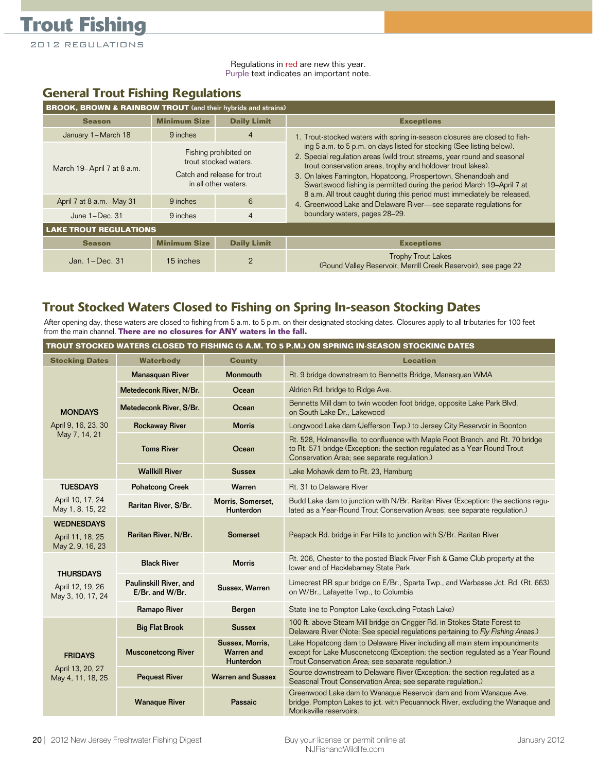2012 REGULATIONS

**Trout Fishing**

Regulations in red are new this year. Purple text indicates an important note.

### **General Trout Fishing Regulations**

| <b>BROOK, BROWN &amp; RAINBOW TROUT</b> (and their hybrids and strains) |                                                                                                       |                    |                                                                                                                                                                                                                                                                                                                                                             |  |  |
|-------------------------------------------------------------------------|-------------------------------------------------------------------------------------------------------|--------------------|-------------------------------------------------------------------------------------------------------------------------------------------------------------------------------------------------------------------------------------------------------------------------------------------------------------------------------------------------------------|--|--|
| <b>Season</b>                                                           | <b>Minimum Size</b>                                                                                   | <b>Daily Limit</b> | <b>Exceptions</b>                                                                                                                                                                                                                                                                                                                                           |  |  |
| January 1-March 18                                                      | 9 inches                                                                                              | $\overline{4}$     | 1. Trout-stocked waters with spring in-season closures are closed to fish-                                                                                                                                                                                                                                                                                  |  |  |
| March 19-April 7 at 8 a.m.                                              | Fishing prohibited on<br>trout stocked waters.<br>Catch and release for trout<br>in all other waters. |                    | ing 5 a.m. to 5 p.m. on days listed for stocking (See listing below).<br>2. Special regulation areas (wild trout streams, year round and seasonal<br>trout conservation areas, trophy and holdover trout lakes).<br>3. On lakes Farrington, Hopatcong, Prospertown, Shenandoah and<br>Swartswood fishing is permitted during the period March 19-April 7 at |  |  |
| April 7 at 8 a.m. - May 31                                              | 9 inches                                                                                              | 6                  | 8 a.m. All trout caught during this period must immediately be released.<br>4. Greenwood Lake and Delaware River-see separate regulations for                                                                                                                                                                                                               |  |  |
| June $1 - Dec.$ 31                                                      | $\overline{4}$<br>9 inches                                                                            |                    | boundary waters, pages 28-29.                                                                                                                                                                                                                                                                                                                               |  |  |
| <b>LAKE TROUT REGULATIONS</b>                                           |                                                                                                       |                    |                                                                                                                                                                                                                                                                                                                                                             |  |  |
| <b>Season</b>                                                           | <b>Minimum Size</b>                                                                                   | <b>Daily Limit</b> | <b>Exceptions</b>                                                                                                                                                                                                                                                                                                                                           |  |  |
| Jan. $1-Dec.$ 31                                                        | 15 inches                                                                                             | $\overline{2}$     | <b>Trophy Trout Lakes</b><br>(Round Valley Reservoir, Merrill Creek Reservoir), see page 22                                                                                                                                                                                                                                                                 |  |  |

## **Trout Stocked Waters Closed to Fishing on Spring In-season Stocking Dates**

After opening day, these waters are closed to fishing from 5 a.m. to 5 p.m. on their designated stocking dates. Closures apply to all tributaries for 100 feet from the main channel. **There are no closures for ANY waters in the fall.**

| TROUT STOCKED WATERS CLOSED TO FISHING (5 A.M. TO 5 P.M.) ON SPRING IN-SEASON STOCKING DATES |                                           |                                                                                                                                                                                                         |                                                                                                                                                                                                                   |  |  |
|----------------------------------------------------------------------------------------------|-------------------------------------------|---------------------------------------------------------------------------------------------------------------------------------------------------------------------------------------------------------|-------------------------------------------------------------------------------------------------------------------------------------------------------------------------------------------------------------------|--|--|
| <b>Stocking Dates</b>                                                                        | <b>Waterbody</b>                          | <b>County</b>                                                                                                                                                                                           | <b>Location</b>                                                                                                                                                                                                   |  |  |
|                                                                                              | <b>Manasquan River</b>                    | <b>Monmouth</b>                                                                                                                                                                                         | Rt. 9 bridge downstream to Bennetts Bridge, Manasquan WMA                                                                                                                                                         |  |  |
|                                                                                              | Metedeconk River, N/Br.                   | Ocean                                                                                                                                                                                                   | Aldrich Rd. bridge to Ridge Ave.                                                                                                                                                                                  |  |  |
| <b>MONDAYS</b>                                                                               | Metedeconk River, S/Br.                   | Ocean                                                                                                                                                                                                   | Bennetts Mill dam to twin wooden foot bridge, opposite Lake Park Blvd.<br>on South Lake Dr., Lakewood                                                                                                             |  |  |
| April 9, 16, 23, 30                                                                          | <b>Rockaway River</b>                     | <b>Morris</b>                                                                                                                                                                                           | Longwood Lake dam (Jefferson Twp.) to Jersey City Reservoir in Boonton                                                                                                                                            |  |  |
| May 7, 14, 21                                                                                | <b>Toms River</b>                         | Ocean                                                                                                                                                                                                   | Rt. 528, Holmansville, to confluence with Maple Root Branch, and Rt. 70 bridge<br>to Rt. 571 bridge (Exception: the section regulated as a Year Round Trout<br>Conservation Area; see separate regulation.)       |  |  |
|                                                                                              | <b>Wallkill River</b>                     | <b>Sussex</b>                                                                                                                                                                                           | Lake Mohawk dam to Rt. 23, Hamburg                                                                                                                                                                                |  |  |
| <b>TUESDAYS</b>                                                                              | <b>Pohatcong Creek</b>                    | Warren                                                                                                                                                                                                  | Rt. 31 to Delaware River                                                                                                                                                                                          |  |  |
| April 10, 17, 24<br>May 1, 8, 15, 22                                                         | Raritan River, S/Br.                      | Morris, Somerset,<br>Budd Lake dam to junction with N/Br. Raritan River (Exception: the sections regu-<br>lated as a Year-Round Trout Conservation Areas; see separate regulation.)<br><b>Hunterdon</b> |                                                                                                                                                                                                                   |  |  |
| <b>WEDNESDAYS</b><br>April 11, 18, 25<br>May 2, 9, 16, 23                                    | Raritan River, N/Br.                      | Peapack Rd. bridge in Far Hills to junction with S/Br. Raritan River<br>Somerset                                                                                                                        |                                                                                                                                                                                                                   |  |  |
| <b>THURSDAYS</b><br>April 12, 19, 26<br>May 3, 10, 17, 24                                    | <b>Black River</b>                        | <b>Morris</b>                                                                                                                                                                                           | Rt. 206, Chester to the posted Black River Fish & Game Club property at the<br>lower end of Hacklebarney State Park                                                                                               |  |  |
|                                                                                              | Paulinskill River, and<br>E/Br. and W/Br. | Sussex, Warren                                                                                                                                                                                          | Limecrest RR spur bridge on E/Br., Sparta Twp., and Warbasse Jct. Rd. (Rt. 663)<br>on W/Br., Lafayette Twp., to Columbia                                                                                          |  |  |
|                                                                                              | <b>Ramapo River</b>                       | Bergen                                                                                                                                                                                                  | State line to Pompton Lake (excluding Potash Lake)                                                                                                                                                                |  |  |
|                                                                                              | <b>Big Flat Brook</b>                     | <b>Sussex</b>                                                                                                                                                                                           | 100 ft. above Steam Mill bridge on Crigger Rd. in Stokes State Forest to<br>Delaware River (Note: See special regulations pertaining to Fly Fishing Areas.)                                                       |  |  |
| <b>FRIDAYS</b><br>April 13, 20, 27<br>May 4, 11, 18, 25                                      | <b>Musconetcong River</b>                 | Sussex, Morris,<br><b>Warren and</b><br>Hunterdon                                                                                                                                                       | Lake Hopatcong dam to Delaware River including all main stem impoundments<br>except for Lake Musconetcong (Exception: the section regulated as a Year Round<br>Trout Conservation Area; see separate regulation.) |  |  |
|                                                                                              | <b>Pequest River</b>                      | <b>Warren and Sussex</b>                                                                                                                                                                                | Source downstream to Delaware River (Exception: the section regulated as a<br>Seasonal Trout Conservation Area; see separate regulation.)                                                                         |  |  |
|                                                                                              | <b>Wanaque River</b>                      | <b>Passaic</b>                                                                                                                                                                                          | Greenwood Lake dam to Wanaque Reservoir dam and from Wanaque Ave.<br>bridge, Pompton Lakes to jct. with Pequannock River, excluding the Wanaque and<br>Monksville reservoirs.                                     |  |  |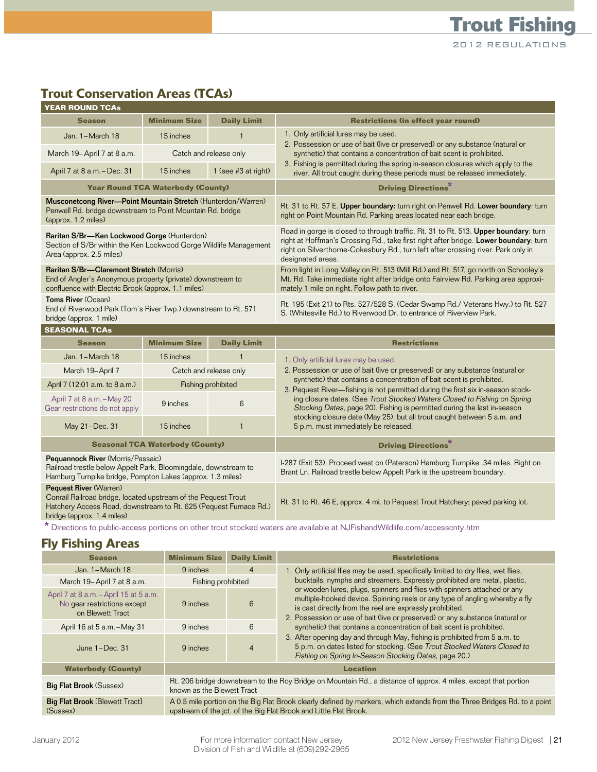# **Trout Conservation Areas (TCAs)**

| <b>YEAR ROUND TCAs</b>                                                                                                                                                                      |                                          |                     |                                                                                                                                                                                                                                                                                       |  |  |
|---------------------------------------------------------------------------------------------------------------------------------------------------------------------------------------------|------------------------------------------|---------------------|---------------------------------------------------------------------------------------------------------------------------------------------------------------------------------------------------------------------------------------------------------------------------------------|--|--|
| <b>Season</b>                                                                                                                                                                               | <b>Minimum Size</b>                      | <b>Daily Limit</b>  | <b>Restrictions (in effect year round)</b>                                                                                                                                                                                                                                            |  |  |
| Jan. 1-March 18                                                                                                                                                                             | 15 inches                                | $\mathbf{1}$        | 1. Only artificial lures may be used.                                                                                                                                                                                                                                                 |  |  |
| March 19-April 7 at 8 a.m.<br>Catch and release only                                                                                                                                        |                                          |                     | 2. Possession or use of bait (live or preserved) or any substance (natural or<br>synthetic) that contains a concentration of bait scent is prohibited.<br>3. Fishing is permitted during the spring in-season closures which apply to the                                             |  |  |
| April 7 at 8 a.m. - Dec. 31                                                                                                                                                                 | 15 inches                                | 1 (see #3 at right) | river. All trout caught during these periods must be released immediately.                                                                                                                                                                                                            |  |  |
|                                                                                                                                                                                             | <b>Year Round TCA Waterbody (County)</b> |                     | <b>Driving Directions</b> *                                                                                                                                                                                                                                                           |  |  |
| Musconetcong River-Point Mountain Stretch (Hunterdon/Warren)<br>Penwell Rd. bridge downstream to Point Mountain Rd. bridge<br>(approx. 1.2 miles)                                           |                                          |                     | Rt. 31 to Rt. 57 E. Upper boundary: turn right on Penwell Rd. Lower boundary: turn<br>right on Point Mountain Rd. Parking areas located near each bridge.                                                                                                                             |  |  |
| Raritan S/Br-Ken Lockwood Gorge (Hunterdon)<br>Section of S/Br within the Ken Lockwood Gorge Wildlife Management<br>Area (approx. 2.5 miles)                                                |                                          |                     | Road in gorge is closed to through traffic, Rt. 31 to Rt. 513. Upper boundary: turn<br>right at Hoffman's Crossing Rd., take first right after bridge. Lower boundary: turn<br>right on Silverthorne-Cokesbury Rd., turn left after crossing river. Park only in<br>designated areas. |  |  |
| Raritan S/Br-Claremont Stretch (Morris)<br>End of Angler's Anonymous property (private) downstream to<br>confluence with Electric Brook (approx. 1.1 miles)                                 |                                          |                     | From light in Long Valley on Rt. 513 (Mill Rd.) and Rt. 517, go north on Schooley's<br>Mt. Rd. Take immediate right after bridge onto Fairview Rd. Parking area approxi-<br>mately 1 mile on right. Follow path to river.                                                             |  |  |
| Toms River (Ocean)<br>End of Riverwood Park (Tom's River Twp.) downstream to Rt. 571<br>bridge (approx. 1 mile)                                                                             |                                          |                     | Rt. 195 (Exit 21) to Rts. 527/528 S. (Cedar Swamp Rd./ Veterans Hwy.) to Rt. 527<br>S. (Whitesville Rd.) to Riverwood Dr. to entrance of Riverview Park.                                                                                                                              |  |  |
| <b>SEASONAL TCAs</b>                                                                                                                                                                        |                                          |                     |                                                                                                                                                                                                                                                                                       |  |  |
| <b>Season</b>                                                                                                                                                                               | <b>Minimum Size</b>                      | <b>Daily Limit</b>  | <b>Restrictions</b>                                                                                                                                                                                                                                                                   |  |  |
| Jan. 1-March 18                                                                                                                                                                             | 15 inches                                |                     | 1. Only artificial lures may be used.                                                                                                                                                                                                                                                 |  |  |
| March 19-April 7                                                                                                                                                                            | Catch and release only                   |                     | 2. Possession or use of bait (live or preserved) or any substance (natural or                                                                                                                                                                                                         |  |  |
| April 7 (12:01 a.m. to 8 a.m.)                                                                                                                                                              |                                          | Fishing prohibited  | synthetic) that contains a concentration of bait scent is prohibited.<br>3. Pequest River-fishing is not permitted during the first six in-season stock-                                                                                                                              |  |  |
| April 7 at 8 a.m. - May 20<br>Gear restrictions do not apply                                                                                                                                | 9 inches                                 | 6                   | ing closure dates. (See Trout Stocked Waters Closed to Fishing on Spring<br>Stocking Dates, page 20). Fishing is permitted during the last in-season                                                                                                                                  |  |  |
| May 21-Dec. 31                                                                                                                                                                              | 15 inches                                | $\mathbf{1}$        | stocking closure date (May 25), but all trout caught between 5 a.m. and<br>5 p.m. must immediately be released.                                                                                                                                                                       |  |  |
| <b>Seasonal TCA Waterbody (County)</b>                                                                                                                                                      |                                          |                     | <b>Driving Directions*</b>                                                                                                                                                                                                                                                            |  |  |
| Pequannock River (Morris/Passaic)<br>Railroad trestle below Appelt Park, Bloomingdale, downstream to<br>Hamburg Turnpike bridge, Pompton Lakes (approx. 1.3 miles)                          |                                          |                     | I-287 (Exit 53). Proceed west on (Paterson) Hamburg Turnpike .34 miles. Right on<br>Brant Ln. Railroad trestle below Appelt Park is the upstream boundary.                                                                                                                            |  |  |
| Pequest River (Warren)<br>Conrail Railroad bridge, located upstream of the Pequest Trout<br>Hatchery Access Road, downstream to Rt. 625 (Pequest Furnace Rd.)<br>bridge (approx. 1.4 miles) |                                          |                     | Rt. 31 to Rt. 46 E, approx. 4 mi. to Pequest Trout Hatchery; paved parking lot.                                                                                                                                                                                                       |  |  |

**\*** Directions to public-access portions on other trout stocked waters are available at NJFishandWildlife.com/accesscnty.htm

### **Fly Fishing Areas**

| <b>Season</b>                                                                             | <b>Minimum Size</b>                                                                                                                                                                           | <b>Daily Limit</b>                                                                                                                                                                                                       | <b>Restrictions</b>                                                                                                                                                                                             |  |
|-------------------------------------------------------------------------------------------|-----------------------------------------------------------------------------------------------------------------------------------------------------------------------------------------------|--------------------------------------------------------------------------------------------------------------------------------------------------------------------------------------------------------------------------|-----------------------------------------------------------------------------------------------------------------------------------------------------------------------------------------------------------------|--|
| Jan. $1 - \text{March } 18$                                                               | 9 inches                                                                                                                                                                                      | 4                                                                                                                                                                                                                        | 1. Only artificial flies may be used, specifically limited to dry flies, wet flies,                                                                                                                             |  |
| March 19-April 7 at 8 a.m.                                                                | Fishing prohibited                                                                                                                                                                            |                                                                                                                                                                                                                          | bucktails, nymphs and streamers. Expressly prohibited are metal, plastic,                                                                                                                                       |  |
| April 7 at 8 a.m. - April 15 at 5 a.m.<br>No gear restrictions except<br>on Blewett Tract | 9 inches                                                                                                                                                                                      | or wooden lures, plugs, spinners and flies with spinners attached or any<br>multiple-hooked device. Spinning reels or any type of angling whereby a fly<br>6<br>is cast directly from the reel are expressly prohibited. |                                                                                                                                                                                                                 |  |
| April 16 at 5 a.m. - May 31                                                               | 9 inches                                                                                                                                                                                      | 6                                                                                                                                                                                                                        | 2. Possession or use of bait (live or preserved) or any substance (natural or<br>synthetic) that contains a concentration of bait scent is prohibited.                                                          |  |
| June $1-Dec.$ 31                                                                          | 9 inches                                                                                                                                                                                      | $\overline{4}$                                                                                                                                                                                                           | 3. After opening day and through May, fishing is prohibited from 5 a.m. to<br>5 p.m. on dates listed for stocking. (See Trout Stocked Waters Closed to<br>Fishing on Spring In-Season Stocking Dates, page 20.) |  |
| <b>Waterbody (County)</b>                                                                 | <b>Location</b>                                                                                                                                                                               |                                                                                                                                                                                                                          |                                                                                                                                                                                                                 |  |
| <b>Big Flat Brook (Sussex)</b>                                                            | Rt. 206 bridge downstream to the Roy Bridge on Mountain Rd., a distance of approx. 4 miles, except that portion<br>known as the Blewett Tract                                                 |                                                                                                                                                                                                                          |                                                                                                                                                                                                                 |  |
| <b>Big Flat Brook [Blewett Tract]</b><br>(Sussex)                                         | A 0.5 mile portion on the Big Flat Brook clearly defined by markers, which extends from the Three Bridges Rd. to a point<br>upstream of the jct. of the Big Flat Brook and Little Flat Brook. |                                                                                                                                                                                                                          |                                                                                                                                                                                                                 |  |